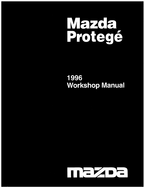

# 1996 **Workshop Manual**

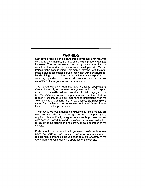## **WARNING**

Servicing a vehicle can be dangerous. If you have not received service-related training, the risks of injury and property damage increase. The recommended servicing procedures for the vehicle in this workshop manual were developed with Mazdatrained technicians in mind. This manual may be useful to non-Mazda trained technicians, but a technician with our service-related training and experience will be at less risk when performing servicing operations. However, all users of this manual are expected to know general safety procedures.

This manual contains "Warnings" and "Cautions" applicable to risks not normally encountered in a general technician's experience. They should be followed to reduce the risk of injury and the risk that improper service or repair may damage the vehicle or render it unsafe. It is also important to understand that the "Warnings" and "Cautions" are not exhaustive. It is impossible to warn of all the hazardous consequences that might result from failure to follow the procedures.

The procedures recommended and described in this manual are effective methods of performing service and repair. Some require tools specifically designed for a specific purpose. Nonrecommended procedures and tools should include consideration for safety of the technician and continued safe operation of the vehicle.

Parts should be replaced with genuine Mazda replacement parts, not parts of lesser quality. Use of a nonrecommended replacement part should include consideration for safety of the technician and continued safe operation of the vehicle.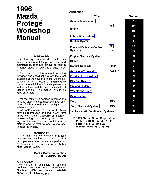# 1996 Mazda Protegé Workshop Manual

## FOREWORD

A thorough familiarization with this manual is important for proper repair and maintenance. It should always be kept in a handy place for quick and easy reference.

The contents of this manual, including drawings and specifications, are the latest available at the time of printing. As modifications affecting repair or maintenance occur, relevant information supplementary to this volume will be made available at Mazda dealers. This manual should be kept up-to-date.

Mazda Motor Corporation reserves the right to alter the specifications and contents of this manual without obligation or advance notice.

All rights reserved. No part of this book may be reproduced or used in any form or by any means, electronic or mechanical-including photocopying and recording, and the use of any kind of information storage and retrieval system-without permission in writing.

#### WARRANTY

The manufacturer's warranty on Mazda vehicles and engines can be voided if improper service or repairs are performed by persons other than those at an Authorized Mazda Dealer.

#### Mazda Motor Corporation HIROSHIMA, JAPAN

### APPLICATION:

This manual is applicable to vehicles beginning with the Vehicle Identification Numbers (VIN), and related materials shown on the following page.

## **CONTENTS**

| <b>Title</b>                                       |                | <b>Section</b> |
|----------------------------------------------------|----------------|----------------|
| <b>General Information</b>                         |                | GI             |
| <b>Engine</b>                                      | Z <sub>5</sub> | <b>B1</b>      |
|                                                    | ВP             | <b>B2</b>      |
| <b>Lubrication System</b>                          |                | D              |
| <b>Cooling System</b>                              |                | П              |
| <b>Fuel and Emission Control</b><br><b>Systems</b> | Z <sub>5</sub> | F1             |
|                                                    | <b>BP</b>      | F <sub>2</sub> |
| <b>Engine Electrical System</b>                    |                | G              |
| <b>Clutch</b>                                      |                | Н              |
| <b>Manual Transaxle</b>                            | <b>F25M-R</b>  | J              |
| <b>Automatic Transaxle</b>                         | <b>FA4A-EL</b> | Κ              |
| <b>Front and Rear Axles</b>                        |                | M              |
| <b>Steering System</b>                             |                | N              |
| <b>Braking System</b>                              |                | p              |
| <b>Wheels and Tires</b>                            |                | Q              |
| <b>Suspension</b>                                  |                | R              |
| <b>Body</b>                                        | 4SD            | S <sub>1</sub> |
| <b>Body Electrical System</b>                      | 4SD            | T <sub>1</sub> |
| <b>Heater and Air Conditioner Systems</b>          |                | U              |
|                                                    |                |                |

© 1995 Mazda Motor Corporation PRINTED IN U.S.A., JULY '95 Form No. 1495-10-95G Part No. 9999-95-017B-96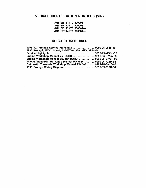# VEHICLE IDENTIFICATION NUMBERS {VIN)

JM1 BB141\*T0 300001-JM1 BB142\*T0 300001-JM1 BB143\*T0 300001-JM1 BB144\*T0 300001-

## RELATED MATERIALS

| 1995 323/Protegé Service Highlights  9999-95-064F-95<br>1996 Protegé, MX-3, MX-5, 626/MX-6, 929, MPV, Millenia |  |
|----------------------------------------------------------------------------------------------------------------|--|
|                                                                                                                |  |
| Engine Workshop Manual Z5-DOHC  9999-95-EWZ5-95                                                                |  |
| Engine Workshop Manual B6, BP-DOHC  9999-95-EWBP-95                                                            |  |
| Manual Transaxle Workshop Manual F25M-R  9999-95-F25M-95                                                       |  |
| Automatic Transaxle Workshop Manual FA4A-EL  9999-95-FA4A-95                                                   |  |
|                                                                                                                |  |

 $\mathcal{A}^{\pm}$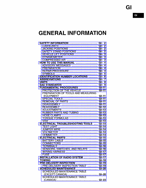# GENERAL INFORMATION

| SAFETY INFORMATION  GI- 2                      |          |
|------------------------------------------------|----------|
| LUBRICANTS  GI- 2                              |          |
| JACKING POSITIONS  GI- 2                       |          |
| SAFETY STAND POSITIONS  GI- 2                  |          |
| VEHICLE LIFT POSITIONS  GI-                    | 3        |
| DYNAMOMETER                                    | $GI - 3$ |
| COMPRESSED AIR                                 | $GI - 3$ |
| HOW TO USE THIS MANUAL                         | $GI - 4$ |
| ADVISORY MESSAGES                              | $GI-4$   |
| PREPARATION                                    | $GI-4$   |
| REPAIR PROCEDURE                               | $GI-4$   |
| SYMBOLS                                        | $GI - 5$ |
| <b>IDENTIFICATION NUMBER LOCATIONS </b>        | $GI - 6$ |
| ABBREVIATIONS                                  | $GI - 7$ |
| <br><b>UNITS</b>                               | $GI - 8$ |
| SAE STANDARDS                                  | $GI-9$   |
| FUNDAMENTAL PROCEDURES                         | $GI-11$  |
| PROTECTION OF THE VEHICLE                      | $GI-11$  |
| PREPARATION OF TOOLS AND MEASURING             |          |
| EQUIPMENT                                      | $GI-11$  |
| SPECIAL TOOLS                                  | $GI-11$  |
| REMOVAL OF PARTS                               | $GI-11$  |
| DISASSEMBLY                                    | $GI-11$  |
| REASSEMBLY                                     | $GI-12$  |
| ADJUSTMENTS                                    | $GI-13$  |
| RUBBER PARTS AND TUBING  GI-13                 |          |
| HOSE CLAMPS  GI-13                             |          |
| TORQUE FORMULAS  GI-13                         | $GI-13$  |
| ELECTRICAL TROUBLESHOOTING TOOLS  GI-14        |          |
| TEST LIGHT  GI-14                              |          |
| JUMPER WIRE  GI-14                             |          |
| VOLTMETER  GI-14                               |          |
| OHMMETER  GI-14                                |          |
| ELECTRICAL PARTS GI-15                         |          |
| BATTERY CABLE  GI-15                           |          |
| CONNECTORS  GI-15                              |          |
|                                                |          |
| SENSORS, SWITCHES, AND RELAYS                  | $GI-16$  |
| WIRING HARNESS                                 | $GI-17$  |
|                                                | $GI-17$  |
| <b>INSTALLATION OF RADIO SYSTEM </b>           | $GI-17$  |
| <b>TOWING</b>                                  | $GI-18$  |
| PRE-DELIVERY INSPECTION                        | $GI-19$  |
| PRE-DELIVERY INSPECTION TABLE                  | $GI-19$  |
| SCHEDULED MAINTENANCE                          | $GI-20$  |
| <b>SCHEDULED MAINTENANCE TABLE</b>             |          |
|                                                | $GI-20$  |
| (EXCEPT CANADA)<br>SCHEDULED MAINTENANCE TABLE |          |
| (CANADA)  GI-23                                |          |
|                                                |          |

 $\sim 10^7$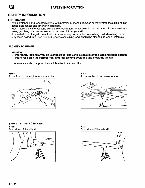## **SAFETY INFORMATION**

## **LUBRICANTS**

Avoid prolonged and repeated contact with petroleum-based oils. Used oil may irritate the skin, and can cause skin cancer and other skin disorders.

Wash thoroughly after working with oil. We recommend water-soluble hand cleaners. Do not use kerosene, gasoline, or any other solvent to remove oil from your skin.

If repeated or prolonged contact with oil is necessary, wear protective clothing. Soiled clothing, particularly those soiled with used oils and greases containing lead, should be cleaned at regular intervals.

## **JACKING POSITIONS**

### **Warning**

• **Improperly jacking a vehicle is dangerous. The vehicle can slip off the jack and cause serious injury. Use only the correct front and rear jacking positions and block the wheels.** 

Use safety stands to support the vehicle after it has been lifted.

### **Front**

At the front of the engine mount member



**Rear**  At the center of the crossmember



#### **SAFETY STAND POSITIONS Front**

Both sides of the side sill



**Rear**  Both sides of the side sill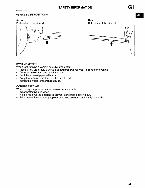## **VEHICLE LIFT POSITIONS**

## **Front**

Both sides of the side sill **Both** Both





## **DYNAMOMETER**

When test-running a vehicle on a dynamometer:

- Place a fan, preferably a vehicle-speed proportional type, in front of the vehicle.
- Connect an exhaust gas ventilation unit.
- Cool the exhaust pipes with a fan.
- Keep the area around the vehicle uncluttered.
- Watch the water temperature gauge.

## **COMPRESSED AIR**

When using compressed air to clean or remove parts:

- Wear protective eye wear.
- Hold a rag over the opening to prevent parts from shooting out.
- Take precautions so that people around you are not struck by flying debris.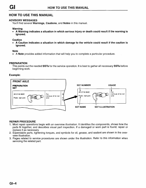## HOW TO USE THIS MANUAL

## ADVISORY MESSAGES

You'll find several Warnings, Cautions, and Notes in this manual.

### Warning

• A Warning indicates a situation in which serious injury or death could result if the warning is ignored.

### **Caution**

• A Caution indicates a situation in which damage to the vehicle could result if the caution is ignored.

**Note** 

• A Note provides added information that will help you to complete a particular procedure.

### PREPARATION

This points out the needed SSTs for the service operation. It is best to gather all necessary SSTs before beginning work.

### Example:



## REPAIR PROCEDURE

- 1. Most repair operations begin with an overview illustration. It identifies the components, shows how the parts fit together, and describes visual part inspection. If a damaged or worn part is found, repair or replace it as necessary.
- 2. Expendable parts, tightening torques, and symbols for oil, grease, and sealant are shown in the overview illustration.
- 3. Pages related to service procedures are shown under the illustration. Refer to this information when servicing the related part.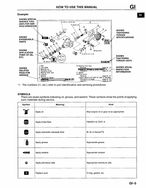

\*1: The numbers (①, etc.) refer to part identification and servicing procedures.

### **SYMBOLS**

There are seven symbols indicating oil, grease, and sealant. These symbols show the points of applying such materials during service.

| Symbol        | Meaning                         | Kind                                      |
|---------------|---------------------------------|-------------------------------------------|
| OIL.          | Apply oil                       | New engine oil or gear oil as appropriate |
| <b>BRAKE</b>  | Apply brake fluid               | <b>FMVSS116: DOT-3</b>                    |
| ATF           | Apply automatic transaxle fluid | M-III or Dexron <sup>®</sup> II           |
| <b>demand</b> | Apply grease                    | Appropriate grease                        |
| SEALANT       | Apply sealant                   | Appropriate sealant                       |
| Θ             | Apply petroleum jelly           | Appropriate petroleum jelly               |
| $\mathsf{R}$  | Replace part                    | O-ring, gasket, etc.                      |

 $GI$